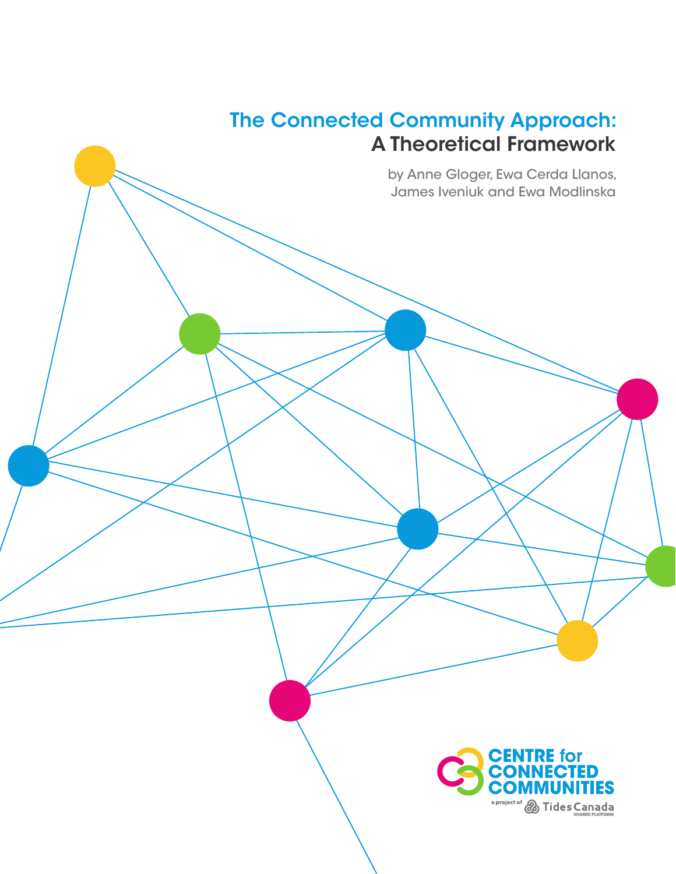## The Connected Community Approach: A Theoretical Framework

by Anne Gloger, Ewa Cerda Llanos, James Iveniuk and Ewa Modlinska

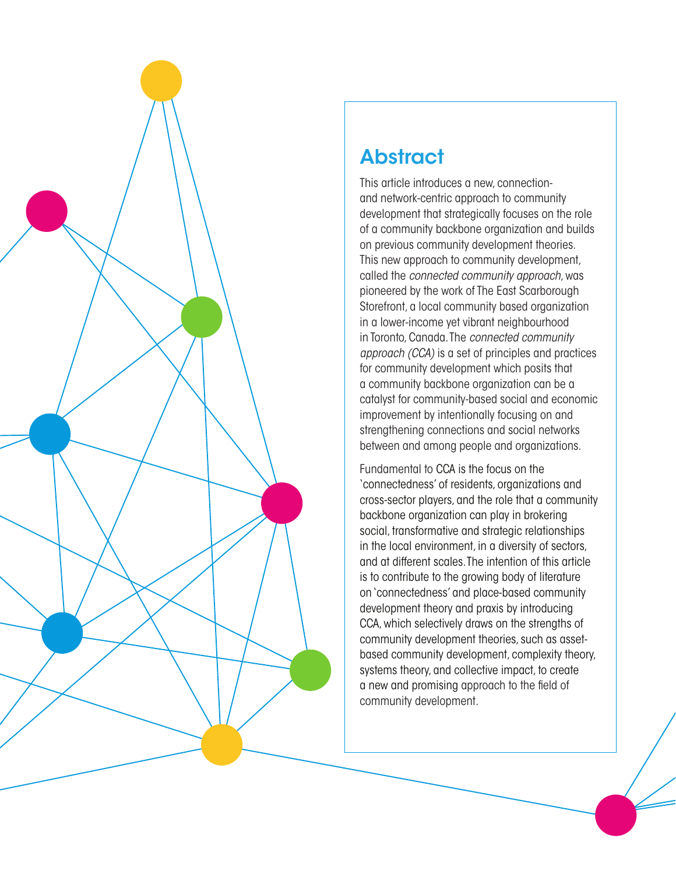

# **Abstract**

This article introduces a new, connectionand network-centric approach to community development that strategically focuses on the role of a community backbone organization and builds on previous community development theories. This new approach to community development, called the *connected community approach*, was pioneered by the work of The East Scarborough Storefront, a local community based organization in a lower-income yet vibrant neighbourhood in Toronto, Canada. The *connected community approach (CCA)* is a set of principles and practices for community development which posits that a community backbone organization can be a catalyst for community-based social and economic improvement by intentionally focusing on and strengthening connections and social networks between and among people and organizations.

Fundamental to CCA is the focus on the 'connectedness' of residents, organizations and cross-sector players, and the role that a community backbone organization can play in brokering social, transformative and strategic relationships in the local environment, in a diversity of sectors, and at different scales. The intention of this article is to contribute to the growing body of literature on 'connectedness' and place-based community development theory and praxis by introducing CCA, which selectively draws on the strengths of community development theories, such as assetbased community development, complexity theory, systems theory, and collective impact, to create a new and promising approach to the field of community development.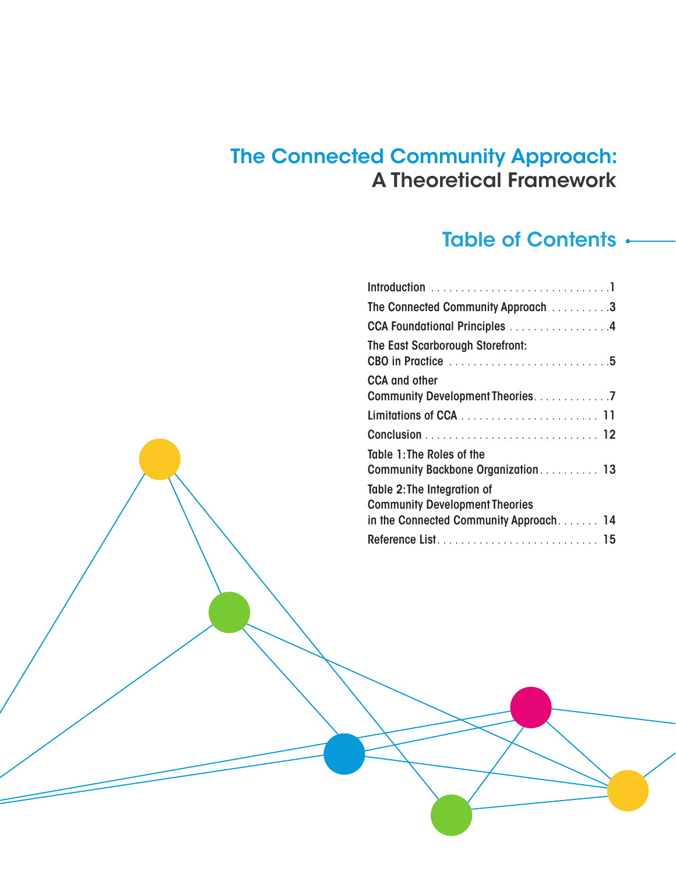### The Connected Community Approach: A Theoretical Framework

### Table of Contents .

| The Connected Community Approach 3     |
|----------------------------------------|
| CCA Foundational Principles 4          |
| The East Scarborough Storefront:       |
| <b>CCA</b> and other                   |
|                                        |
|                                        |
|                                        |
| Table 1: The Roles of the              |
| Community Backbone Organization 13     |
| Table 2: The Integration of            |
| <b>Community Development Theories</b>  |
| in the Connected Community Approach 14 |
|                                        |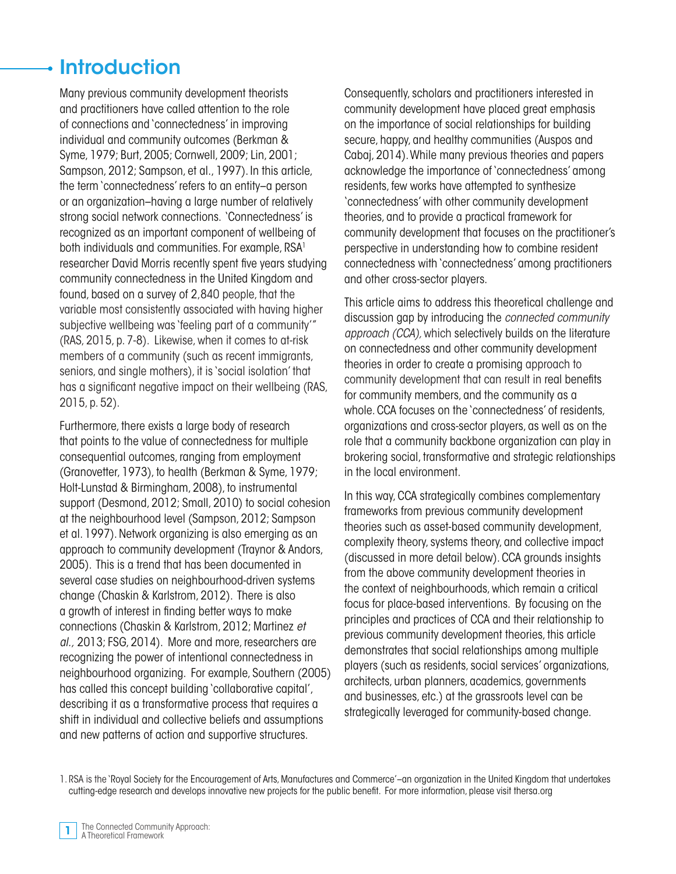## **Introduction**

Many previous community development theorists and practitioners have called attention to the role of connections and 'connectedness' in improving individual and community outcomes (Berkman & Syme, 1979; Burt, 2005; Cornwell, 2009; Lin, 2001; Sampson, 2012; Sampson, et al., 1997). In this article, the term 'connectedness' refers to an entity–a person or an organization–having a large number of relatively strong social network connections. 'Connectedness' is recognized as an important component of wellbeing of both individuals and communities. For example, RSA<sup>1</sup> researcher David Morris recently spent five years studying community connectedness in the United Kingdom and found, based on a survey of 2,840 people, that the variable most consistently associated with having higher subjective wellbeing was 'feeling part of a community'" (RAS, 2015, p. 7-8). Likewise, when it comes to at-risk members of a community (such as recent immigrants, seniors, and single mothers), it is 'social isolation' that has a significant negative impact on their wellbeing (RAS, 2015, p. 52).

Furthermore, there exists a large body of research that points to the value of connectedness for multiple consequential outcomes, ranging from employment (Granovetter, 1973), to health (Berkman & Syme, 1979; Holt-Lunstad & Birmingham, 2008), to instrumental support (Desmond, 2012; Small, 2010) to social cohesion at the neighbourhood level (Sampson, 2012; Sampson et al. 1997). Network organizing is also emerging as an approach to community development (Traynor & Andors, 2005). This is a trend that has been documented in several case studies on neighbourhood-driven systems change (Chaskin & Karlstrom, 2012). There is also a growth of interest in finding better ways to make connections (Chaskin & Karlstrom, 2012; Martinez *et al.,* 2013; FSG, 2014). More and more, researchers are recognizing the power of intentional connectedness in neighbourhood organizing. For example, Southern (2005) has called this concept building 'collaborative capital', describing it as a transformative process that requires a shift in individual and collective beliefs and assumptions and new patterns of action and supportive structures.

Consequently, scholars and practitioners interested in community development have placed great emphasis on the importance of social relationships for building secure, happy, and healthy communities (Auspos and Cabaj, 2014). While many previous theories and papers acknowledge the importance of 'connectedness' among residents, few works have attempted to synthesize 'connectedness' with other community development theories, and to provide a practical framework for community development that focuses on the practitioner's perspective in understanding how to combine resident connectedness with 'connectedness' among practitioners and other cross-sector players.

This article aims to address this theoretical challenge and discussion gap by introducing the *connected community approach (CCA),* which selectively builds on the literature on connectedness and other community development theories in order to create a promising approach to community development that can result in real benefits for community members, and the community as a whole. CCA focuses on the 'connectedness' of residents, organizations and cross-sector players, as well as on the role that a community backbone organization can play in brokering social, transformative and strategic relationships in the local environment.

In this way, CCA strategically combines complementary frameworks from previous community development theories such as asset-based community development, complexity theory, systems theory, and collective impact (discussed in more detail below). CCA grounds insights from the above community development theories in the context of neighbourhoods, which remain a critical focus for place-based interventions. By focusing on the principles and practices of CCA and their relationship to previous community development theories, this article demonstrates that social relationships among multiple players (such as residents, social services' organizations, architects, urban planners, academics, governments and businesses, etc.) at the grassroots level can be strategically leveraged for community-based change.

1. RSA is the 'Royal Society for the Encouragement of Arts, Manufactures and Commerce'–an organization in the United Kingdom that undertakes cutting-edge research and develops innovative new projects for the public benefit. For more information, please visit thersa.org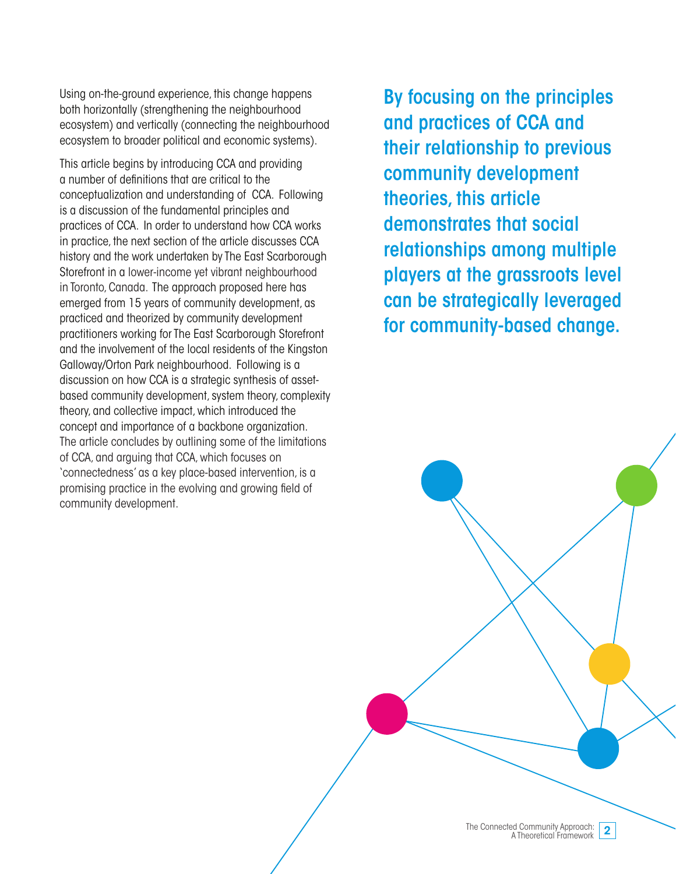Using on-the-ground experience, this change happens both horizontally (strengthening the neighbourhood ecosystem) and vertically (connecting the neighbourhood ecosystem to broader political and economic systems).

This article begins by introducing CCA and providing a number of definitions that are critical to the conceptualization and understanding of CCA. Following is a discussion of the fundamental principles and practices of CCA. In order to understand how CCA works in practice, the next section of the article discusses CCA history and the work undertaken by The East Scarborough Storefront in a lower-income yet vibrant neighbourhood in Toronto, Canada. The approach proposed here has emerged from 15 years of community development, as practiced and theorized by community development practitioners working for The East Scarborough Storefront and the involvement of the local residents of the Kingston Galloway/Orton Park neighbourhood. Following is a discussion on how CCA is a strategic synthesis of assetbased community development, system theory, complexity theory, and collective impact, which introduced the concept and importance of a backbone organization. The article concludes by outlining some of the limitations of CCA, and arguing that CCA, which focuses on 'connectedness' as a key place-based intervention, is a promising practice in the evolving and growing field of community development.

By focusing on the principles and practices of CCA and their relationship to previous community development theories, this article demonstrates that social relationships among multiple players at the grassroots level can be strategically leveraged for community-based change.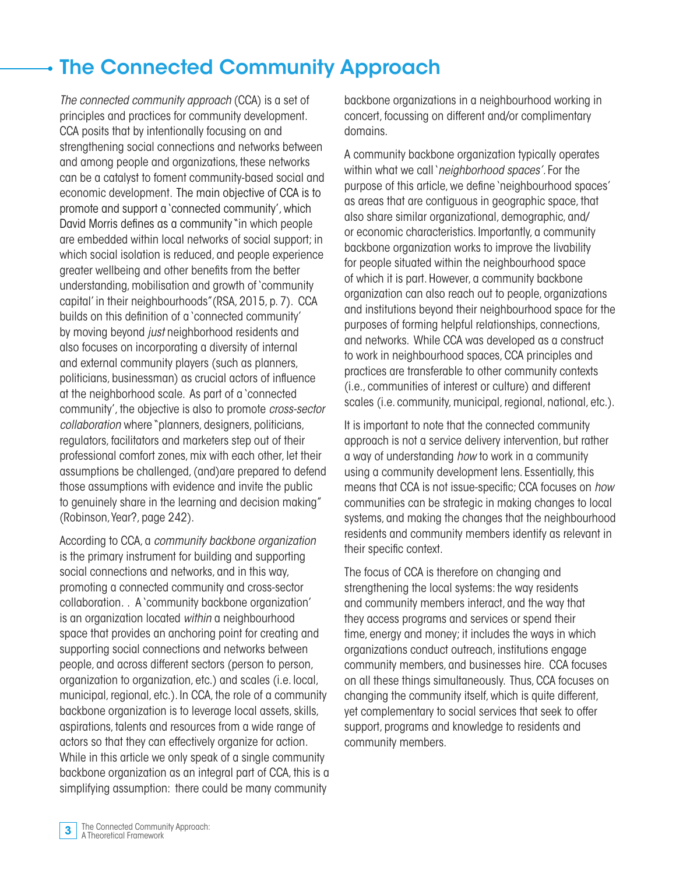# The Connected Community Approach

*The connected community approach* (CCA) is a set of principles and practices for community development. CCA posits that by intentionally focusing on and strengthening social connections and networks between and among people and organizations, these networks can be a catalyst to foment community-based social and economic development. The main objective of CCA is to promote and support a 'connected community', which David Morris defines as a community "in which people are embedded within local networks of social support; in which social isolation is reduced, and people experience greater wellbeing and other benefits from the better understanding, mobilisation and growth of 'community capital' in their neighbourhoods"(RSA, 2015, p. 7). CCA builds on this definition of a 'connected community' by moving beyond *just* neighborhood residents and also focuses on incorporating a diversity of internal and external community players (such as planners, politicians, businessman) as crucial actors of influence at the neighborhood scale. As part of a 'connected community', the objective is also to promote *cross-sector collaboration* where "planners, designers, politicians, regulators, facilitators and marketers step out of their professional comfort zones, mix with each other, let their assumptions be challenged, (and)are prepared to defend those assumptions with evidence and invite the public to genuinely share in the learning and decision making" (Robinson, Year?, page 242).

According to CCA, a *community backbone organization*  is the primary instrument for building and supporting social connections and networks, and in this way, promoting a connected community and cross-sector collaboration*. .* A 'community backbone organization' is an organization located *within* a neighbourhood space that provides an anchoring point for creating and supporting social connections and networks between people, and across different sectors (person to person, organization to organization, etc.) and scales (i.e. local, municipal, regional, etc.). In CCA, the role of a community backbone organization is to leverage local assets, skills, aspirations, talents and resources from a wide range of actors so that they can effectively organize for action. While in this article we only speak of a single community backbone organization as an integral part of CCA, this is a simplifying assumption: there could be many community

backbone organizations in a neighbourhood working in concert, focussing on different and/or complimentary domains.

A community backbone organization typically operates within what we call '*neighborhood spaces'.* For the purpose of this article, we define 'neighbourhood spaces' as areas that are contiguous in geographic space, that also share similar organizational, demographic, and/ or economic characteristics. Importantly, a community backbone organization works to improve the livability for people situated within the neighbourhood space of which it is part. However, a community backbone organization can also reach out to people, organizations and institutions beyond their neighbourhood space for the purposes of forming helpful relationships, connections, and networks. While CCA was developed as a construct to work in neighbourhood spaces, CCA principles and practices are transferable to other community contexts (i.e., communities of interest or culture) and different scales (i.e. community, municipal, regional, national, etc.).

It is important to note that the connected community approach is not a service delivery intervention, but rather a way of understanding *how* to work in a community using a community development lens. Essentially, this means that CCA is not issue-specific; CCA focuses on *how* communities can be strategic in making changes to local systems, and making the changes that the neighbourhood residents and community members identify as relevant in their specific context.

The focus of CCA is therefore on changing and strengthening the local systems: the way residents and community members interact, and the way that they access programs and services or spend their time, energy and money; it includes the ways in which organizations conduct outreach, institutions engage community members, and businesses hire. CCA focuses on all these things simultaneously. Thus, CCA focuses on changing the community itself, which is quite different, yet complementary to social services that seek to offer support, programs and knowledge to residents and community members.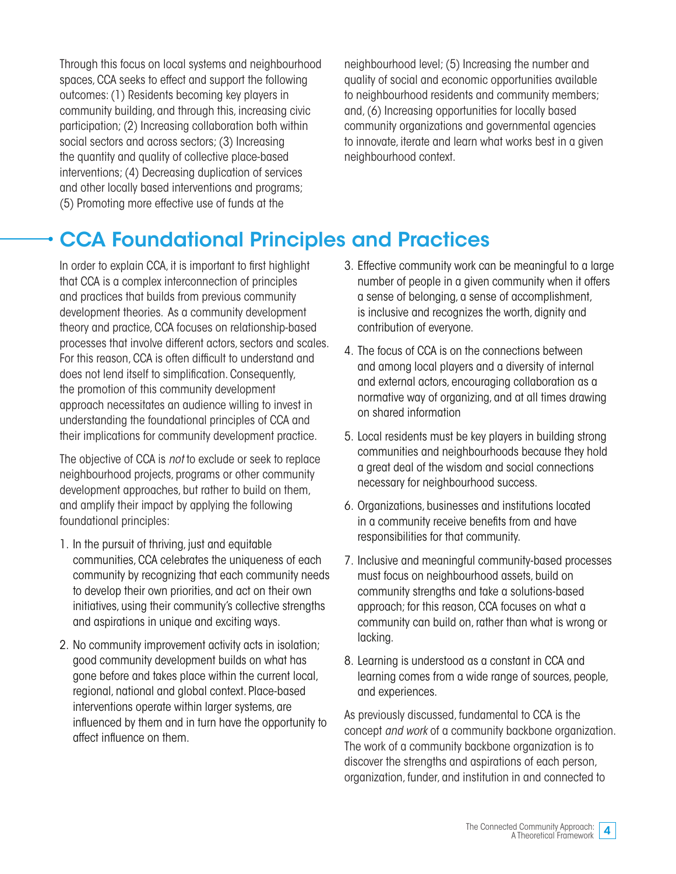Through this focus on local systems and neighbourhood spaces, CCA seeks to effect and support the following outcomes: (1) Residents becoming key players in community building, and through this, increasing civic participation; (2) Increasing collaboration both within social sectors and across sectors; (3) Increasing the quantity and quality of collective place-based interventions; (4) Decreasing duplication of services and other locally based interventions and programs; (5) Promoting more effective use of funds at the

neighbourhood level; (5) Increasing the number and quality of social and economic opportunities available to neighbourhood residents and community members; and, (6) Increasing opportunities for locally based community organizations and governmental agencies to innovate, iterate and learn what works best in a given neighbourhood context.

# CCA Foundational Principles and Practices

In order to explain CCA, it is important to first highlight that CCA is a complex interconnection of principles and practices that builds from previous community development theories. As a community development theory and practice, CCA focuses on relationship-based processes that involve different actors, sectors and scales. For this reason, CCA is often difficult to understand and does not lend itself to simplification. Consequently, the promotion of this community development approach necessitates an audience willing to invest in understanding the foundational principles of CCA and their implications for community development practice.

The objective of CCA is *not* to exclude or seek to replace neighbourhood projects, programs or other community development approaches, but rather to build on them, and amplify their impact by applying the following foundational principles:

- 1. In the pursuit of thriving, just and equitable communities, CCA celebrates the uniqueness of each community by recognizing that each community needs to develop their own priorities, and act on their own initiatives, using their community's collective strengths and aspirations in unique and exciting ways.
- 2. No community improvement activity acts in isolation; good community development builds on what has gone before and takes place within the current local, regional, national and global context. Place-based interventions operate within larger systems, are influenced by them and in turn have the opportunity to affect influence on them.
- 3. Effective community work can be meaningful to a large number of people in a given community when it offers a sense of belonging, a sense of accomplishment, is inclusive and recognizes the worth, dignity and contribution of everyone.
- 4. The focus of CCA is on the connections between and among local players and a diversity of internal and external actors, encouraging collaboration as a normative way of organizing, and at all times drawing on shared information
- 5. Local residents must be key players in building strong communities and neighbourhoods because they hold a great deal of the wisdom and social connections necessary for neighbourhood success.
- 6. Organizations, businesses and institutions located in a community receive benefits from and have responsibilities for that community.
- 7. Inclusive and meaningful community-based processes must focus on neighbourhood assets, build on community strengths and take a solutions-based approach; for this reason, CCA focuses on what a community can build on, rather than what is wrong or lacking.
- 8. Learning is understood as a constant in CCA and learning comes from a wide range of sources, people, and experiences.

As previously discussed, fundamental to CCA is the concept *and work* of a community backbone organization. The work of a community backbone organization is to discover the strengths and aspirations of each person, organization, funder, and institution in and connected to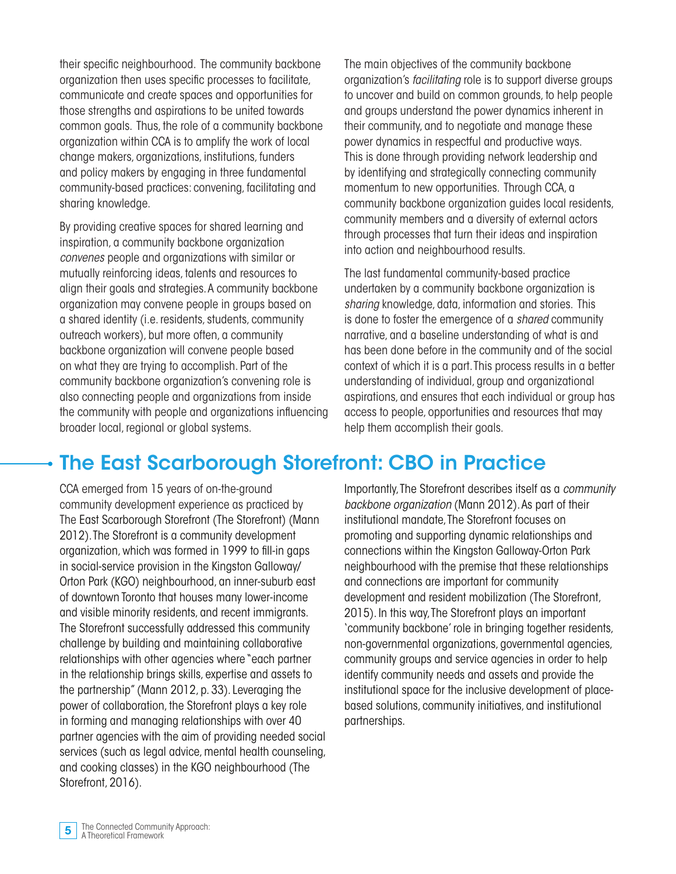their specific neighbourhood. The community backbone organization then uses specific processes to facilitate, communicate and create spaces and opportunities for those strengths and aspirations to be united towards common goals. Thus, the role of a community backbone organization within CCA is to amplify the work of local change makers, organizations, institutions, funders and policy makers by engaging in three fundamental community-based practices: convening, facilitating and sharing knowledge.

By providing creative spaces for shared learning and inspiration, a community backbone organization *convenes* people and organizations with similar or mutually reinforcing ideas, talents and resources to align their goals and strategies. A community backbone organization may convene people in groups based on a shared identity (i.e. residents, students, community outreach workers), but more often, a community backbone organization will convene people based on what they are trying to accomplish. Part of the community backbone organization's convening role is also connecting people and organizations from inside the community with people and organizations influencing broader local, regional or global systems.

The main objectives of the community backbone organization's *facilitating* role is to support diverse groups to uncover and build on common grounds, to help people and groups understand the power dynamics inherent in their community, and to negotiate and manage these power dynamics in respectful and productive ways. This is done through providing network leadership and by identifying and strategically connecting community momentum to new opportunities. Through CCA, a community backbone organization guides local residents, community members and a diversity of external actors through processes that turn their ideas and inspiration into action and neighbourhood results.

The last fundamental community-based practice undertaken by a community backbone organization is *sharing* knowledge, data, information and stories. This is done to foster the emergence of a *shared* community narrative, and a baseline understanding of what is and has been done before in the community and of the social context of which it is a part. This process results in a better understanding of individual, group and organizational aspirations, and ensures that each individual or group has access to people, opportunities and resources that may help them accomplish their goals.

### The East Scarborough Storefront: CBO in Practice

CCA emerged from 15 years of on-the-ground community development experience as practiced by The East Scarborough Storefront (The Storefront) (Mann 2012). The Storefront is a community development organization, which was formed in 1999 to fill-in gaps in social-service provision in the Kingston Galloway/ Orton Park (KGO) neighbourhood, an inner-suburb east of downtown Toronto that houses many lower-income and visible minority residents, and recent immigrants. The Storefront successfully addressed this community challenge by building and maintaining collaborative relationships with other agencies where "each partner in the relationship brings skills, expertise and assets to the partnership" (Mann 2012, p. 33). Leveraging the power of collaboration, the Storefront plays a key role in forming and managing relationships with over 40 partner agencies with the aim of providing needed social services (such as legal advice, mental health counseling, and cooking classes) in the KGO neighbourhood (The Storefront, 2016).

Importantly, The Storefront describes itself as a *community backbone organization* (Mann 2012). As part of their institutional mandate, The Storefront focuses on promoting and supporting dynamic relationships and connections within the Kingston Galloway-Orton Park neighbourhood with the premise that these relationships and connections are important for community development and resident mobilization (The Storefront, 2015). In this way, The Storefront plays an important 'community backbone' role in bringing together residents, non-governmental organizations, governmental agencies, community groups and service agencies in order to help identify community needs and assets and provide the institutional space for the inclusive development of placebased solutions, community initiatives, and institutional partnerships.

The Connected Community Approach: **5** The Connected Communism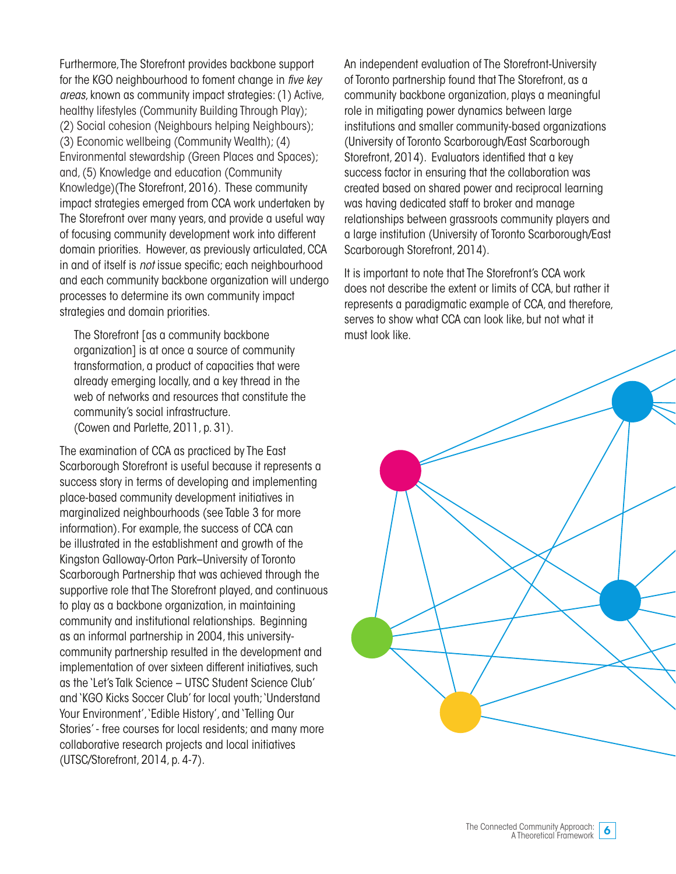Furthermore, The Storefront provides backbone support for the KGO neighbourhood to foment change in *five key areas*, known as community impact strategies: (1) Active, healthy lifestyles (Community Building Through Play); (2) Social cohesion (Neighbours helping Neighbours); (3) Economic wellbeing (Community Wealth); (4) Environmental stewardship (Green Places and Spaces); and, (5) Knowledge and education (Community Knowledge)(The Storefront, 2016). These community impact strategies emerged from CCA work undertaken by The Storefront over many years, and provide a useful way of focusing community development work into different domain priorities. However, as previously articulated, CCA in and of itself is *not* issue specific; each neighbourhood and each community backbone organization will undergo processes to determine its own community impact strategies and domain priorities.

The Storefront [as a community backbone organization] is at once a source of community transformation, a product of capacities that were already emerging locally, and a key thread in the web of networks and resources that constitute the community's social infrastructure. (Cowen and Parlette, 2011, p. 31).

The examination of CCA as practiced by The East Scarborough Storefront is useful because it represents a success story in terms of developing and implementing place-based community development initiatives in marginalized neighbourhoods (see Table 3 for more information). For example, the success of CCA can be illustrated in the establishment and growth of the Kingston Galloway-Orton Park–University of Toronto Scarborough Partnership that was achieved through the supportive role that The Storefront played, and continuous to play as a backbone organization, in maintaining community and institutional relationships. Beginning as an informal partnership in 2004, this universitycommunity partnership resulted in the development and implementation of over sixteen different initiatives, such as the 'Let's Talk Science – UTSC Student Science Club' and 'KGO Kicks Soccer Club' for local youth; 'Understand Your Environment', 'Edible History', and 'Telling Our Stories' - free courses for local residents; and many more collaborative research projects and local initiatives (UTSC/Storefront, 2014, p. 4-7).

An independent evaluation of The Storefront-University of Toronto partnership found that The Storefront, as a community backbone organization, plays a meaningful role in mitigating power dynamics between large institutions and smaller community-based organizations (University of Toronto Scarborough/East Scarborough Storefront, 2014). Evaluators identified that a key success factor in ensuring that the collaboration was created based on shared power and reciprocal learning was having dedicated staff to broker and manage relationships between grassroots community players and a large institution (University of Toronto Scarborough/East Scarborough Storefront, 2014).

It is important to note that The Storefront's CCA work does not describe the extent or limits of CCA, but rather it represents a paradigmatic example of CCA, and therefore, serves to show what CCA can look like, but not what it must look like.

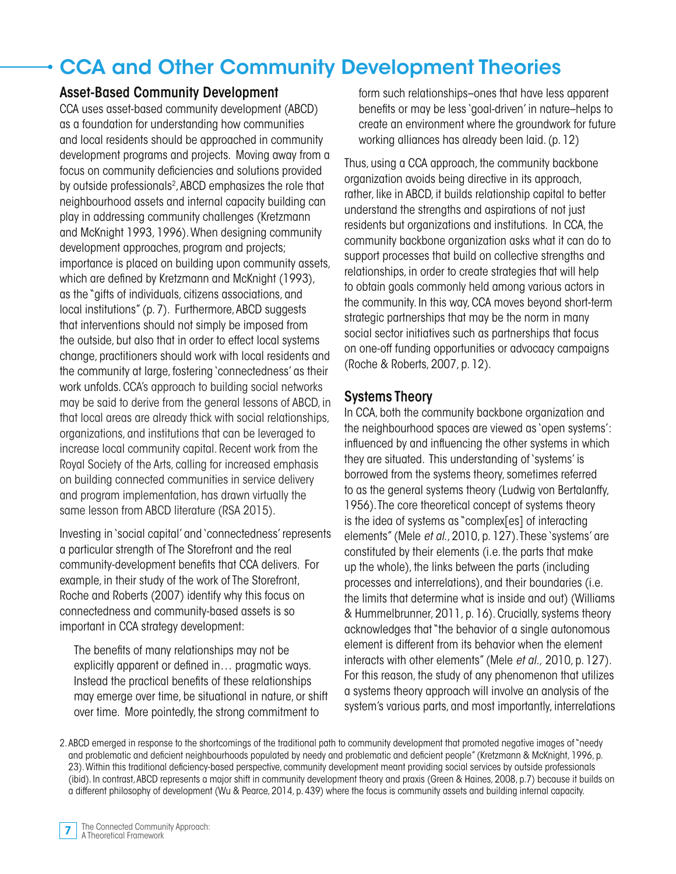## CCA and Other Community Development Theories

#### Asset-Based Community Development

CCA uses asset-based community development (ABCD) as a foundation for understanding how communities and local residents should be approached in community development programs and projects. Moving away from a focus on community deficiencies and solutions provided by outside professionals<sup>2</sup>, ABCD emphasizes the role that neighbourhood assets and internal capacity building can play in addressing community challenges (Kretzmann and McKnight 1993, 1996). When designing community development approaches, program and projects; importance is placed on building upon community assets, which are defined by Kretzmann and McKnight (1993), as the "gifts of individuals, citizens associations, and local institutions" (p. 7). Furthermore, ABCD suggests that interventions should not simply be imposed from the outside, but also that in order to effect local systems change, practitioners should work with local residents and the community at large, fostering 'connectedness' as their work unfolds. CCA's approach to building social networks may be said to derive from the general lessons of ABCD, in that local areas are already thick with social relationships, organizations, and institutions that can be leveraged to increase local community capital. Recent work from the Royal Society of the Arts, calling for increased emphasis on building connected communities in service delivery and program implementation, has drawn virtually the same lesson from ABCD literature (RSA 2015).

Investing in 'social capital' and 'connectedness' represents a particular strength of The Storefront and the real community-development benefits that CCA delivers. For example, in their study of the work of The Storefront, Roche and Roberts (2007) identify why this focus on connectedness and community-based assets is so important in CCA strategy development:

The benefits of many relationships may not be explicitly apparent or defined in… pragmatic ways. Instead the practical benefits of these relationships may emerge over time, be situational in nature, or shift over time. More pointedly, the strong commitment to

form such relationships–ones that have less apparent benefits or may be less 'goal-driven' in nature–helps to create an environment where the groundwork for future working alliances has already been laid. (p. 12)

Thus, using a CCA approach, the community backbone organization avoids being directive in its approach, rather, like in ABCD, it builds relationship capital to better understand the strengths and aspirations of not just residents but organizations and institutions. In CCA, the community backbone organization asks what it can do to support processes that build on collective strengths and relationships, in order to create strategies that will help to obtain goals commonly held among various actors in the community. In this way, CCA moves beyond short-term strategic partnerships that may be the norm in many social sector initiatives such as partnerships that focus on one-off funding opportunities or advocacy campaigns (Roche & Roberts, 2007, p. 12).

### Systems Theory

In CCA, both the community backbone organization and the neighbourhood spaces are viewed as 'open systems': influenced by and influencing the other systems in which they are situated. This understanding of 'systems' is borrowed from the systems theory, sometimes referred to as the general systems theory (Ludwig von Bertalanffy, 1956). The core theoretical concept of systems theory is the idea of systems as "complex[es] of interacting elements" (Mele *et al*., 2010, p. 127). These 'systems' are constituted by their elements (i.e. the parts that make up the whole), the links between the parts (including processes and interrelations), and their boundaries (i.e. the limits that determine what is inside and out) (Williams & Hummelbrunner, 2011, p. 16). Crucially, systems theory acknowledges that "the behavior of a single autonomous element is different from its behavior when the element interacts with other elements" (Mele *et al.,* 2010, p. 127). For this reason, the study of any phenomenon that utilizes a systems theory approach will involve an analysis of the system's various parts, and most importantly, interrelations

2. ABCD emerged in response to the shortcomings of the traditional path to community development that promoted negative images of "needy and problematic and deficient neighbourhoods populated by needy and problematic and deficient people" (Kretzmann & McKnight, 1996, p. 23). Within this traditional deficiency-based perspective, community development meant providing social services by outside professionals (ibid). In contrast, ABCD represents a major shift in community development theory and praxis (Green & Haines, 2008, p.7) because it builds on a different philosophy of development (Wu & Pearce, 2014, p. 439) where the focus is community assets and building internal capacity.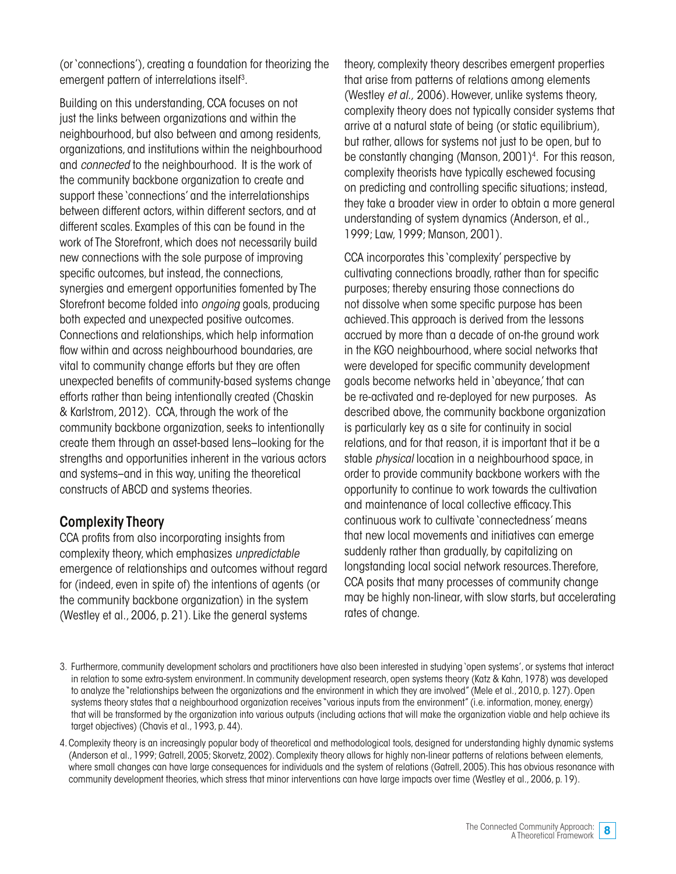(or 'connections'), creating a foundation for theorizing the emergent pattern of interrelations itself<sup>3</sup>.

Building on this understanding, CCA focuses on not just the links between organizations and within the neighbourhood, but also between and among residents, organizations, and institutions within the neighbourhood and *connected* to the neighbourhood. It is the work of the community backbone organization to create and support these 'connections' and the interrelationships between different actors, within different sectors, and at different scales. Examples of this can be found in the work of The Storefront, which does not necessarily build new connections with the sole purpose of improving specific outcomes, but instead, the connections, synergies and emergent opportunities fomented by The Storefront become folded into *ongoing* goals, producing both expected and unexpected positive outcomes. Connections and relationships, which help information flow within and across neighbourhood boundaries, are vital to community change efforts but they are often unexpected benefits of community-based systems change efforts rather than being intentionally created (Chaskin & Karlstrom, 2012). CCA, through the work of the community backbone organization, seeks to intentionally create them through an asset-based lens–looking for the strengths and opportunities inherent in the various actors and systems–and in this way, uniting the theoretical constructs of ABCD and systems theories.

### Complexity Theory

CCA profits from also incorporating insights from complexity theory, which emphasizes *unpredictable*  emergence of relationships and outcomes without regard for (indeed, even in spite of) the intentions of agents (or the community backbone organization) in the system (Westley et al., 2006, p. 21). Like the general systems

theory, complexity theory describes emergent properties that arise from patterns of relations among elements (Westley *et al.,* 2006). However, unlike systems theory, complexity theory does not typically consider systems that arrive at a natural state of being (or static equilibrium), but rather, allows for systems not just to be open, but to be constantly changing (Manson, 2001)<sup>4</sup>. For this reason, complexity theorists have typically eschewed focusing on predicting and controlling specific situations; instead, they take a broader view in order to obtain a more general understanding of system dynamics (Anderson, et al., 1999; Law, 1999; Manson, 2001).

CCA incorporates this 'complexity' perspective by cultivating connections broadly, rather than for specific purposes; thereby ensuring those connections do not dissolve when some specific purpose has been achieved. This approach is derived from the lessons accrued by more than a decade of on-the ground work in the KGO neighbourhood, where social networks that were developed for specific community development goals become networks held in 'abeyance,' that can be re-activated and re-deployed for new purposes. As described above, the community backbone organization is particularly key as a site for continuity in social relations, and for that reason, it is important that it be a stable *physical* location in a neighbourhood space, in order to provide community backbone workers with the opportunity to continue to work towards the cultivation and maintenance of local collective efficacy. This continuous work to cultivate 'connectedness' means that new local movements and initiatives can emerge suddenly rather than gradually, by capitalizing on longstanding local social network resources. Therefore, CCA posits that many processes of community change may be highly non-linear, with slow starts, but accelerating rates of change.

<sup>3.</sup> Furthermore, community development scholars and practitioners have also been interested in studying 'open systems', or systems that interact in relation to some extra-system environment. In community development research, open systems theory (Katz & Kahn, 1978) was developed to analyze the "relationships between the organizations and the environment in which they are involved" (Mele et al., 2010, p. 127). Open systems theory states that a neighbourhood organization receives "various inputs from the environment" (i.e. information, money, energy) that will be transformed by the organization into various outputs (including actions that will make the organization viable and help achieve its target objectives) (Chavis et al., 1993, p. 44).

<sup>4.</sup> Complexity theory is an increasingly popular body of theoretical and methodological tools, designed for understanding highly dynamic systems (Anderson et al., 1999; Gatrell, 2005; Skorvetz, 2002). Complexity theory allows for highly non-linear patterns of relations between elements, where small changes can have large consequences for individuals and the system of relations (Gatrell, 2005). This has obvious resonance with community development theories, which stress that minor interventions can have large impacts over time (Westley et al., 2006, p. 19).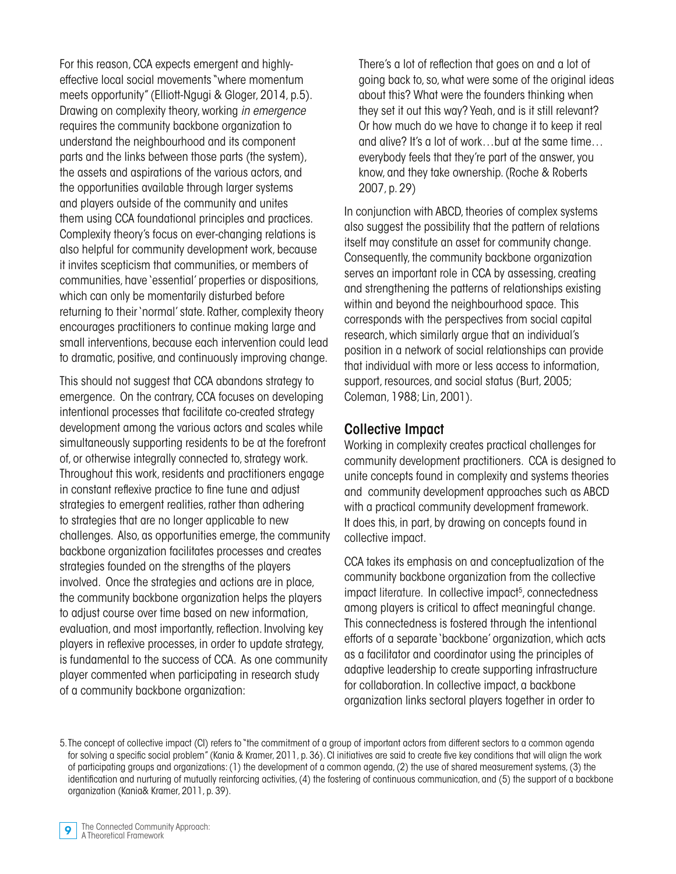For this reason, CCA expects emergent and highlyeffective local social movements "where momentum meets opportunity" (Elliott-Ngugi & Gloger, 2014, p.5). Drawing on complexity theory, working *in emergence* requires the community backbone organization to understand the neighbourhood and its component parts and the links between those parts (the system), the assets and aspirations of the various actors, and the opportunities available through larger systems and players outside of the community and unites them using CCA foundational principles and practices. Complexity theory's focus on ever-changing relations is also helpful for community development work, because it invites scepticism that communities, or members of communities, have 'essential' properties or dispositions, which can only be momentarily disturbed before returning to their 'normal' state. Rather, complexity theory encourages practitioners to continue making large and small interventions, because each intervention could lead to dramatic, positive, and continuously improving change.

This should not suggest that CCA abandons strategy to emergence. On the contrary, CCA focuses on developing intentional processes that facilitate co-created strategy development among the various actors and scales while simultaneously supporting residents to be at the forefront of, or otherwise integrally connected to, strategy work. Throughout this work, residents and practitioners engage in constant reflexive practice to fine tune and adjust strategies to emergent realities, rather than adhering to strategies that are no longer applicable to new challenges. Also, as opportunities emerge, the community backbone organization facilitates processes and creates strategies founded on the strengths of the players involved. Once the strategies and actions are in place, the community backbone organization helps the players to adjust course over time based on new information, evaluation, and most importantly, reflection. Involving key players in reflexive processes, in order to update strategy, is fundamental to the success of CCA. As one community player commented when participating in research study of a community backbone organization:

There's a lot of reflection that goes on and a lot of going back to, so, what were some of the original ideas about this? What were the founders thinking when they set it out this way? Yeah, and is it still relevant? Or how much do we have to change it to keep it real and alive? It's a lot of work…but at the same time… everybody feels that they're part of the answer, you know, and they take ownership. (Roche & Roberts 2007, p. 29)

In conjunction with ABCD, theories of complex systems also suggest the possibility that the pattern of relations itself may constitute an asset for community change. Consequently, the community backbone organization serves an important role in CCA by assessing, creating and strengthening the patterns of relationships existing within and beyond the neighbourhood space. This corresponds with the perspectives from social capital research, which similarly argue that an individual's position in a network of social relationships can provide that individual with more or less access to information, support, resources, and social status (Burt, 2005; Coleman, 1988; Lin, 2001).

#### Collective Impact

Working in complexity creates practical challenges for community development practitioners. CCA is designed to unite concepts found in complexity and systems theories and community development approaches such as ABCD with a practical community development framework. It does this, in part, by drawing on concepts found in collective impact.

CCA takes its emphasis on and conceptualization of the community backbone organization from the collective impact literature. In collective impact<sup>5</sup>, connectedness among players is critical to affect meaningful change. This connectedness is fostered through the intentional efforts of a separate 'backbone' organization, which acts as a facilitator and coordinator using the principles of adaptive leadership to create supporting infrastructure for collaboration. In collective impact, a backbone organization links sectoral players together in order to

<sup>5.</sup> The concept of collective impact (CI) refers to "the commitment of a group of important actors from different sectors to a common agenda for solving a specific social problem" (Kania & Kramer, 2011, p. 36). CI initiatives are said to create five key conditions that will align the work of participating groups and organizations: (1) the development of a common agenda, (2) the use of shared measurement systems, (3) the identification and nurturing of mutually reinforcing activities, (4) the fostering of continuous communication, and (5) the support of a backbone organization (Kania& Kramer, 2011, p. 39).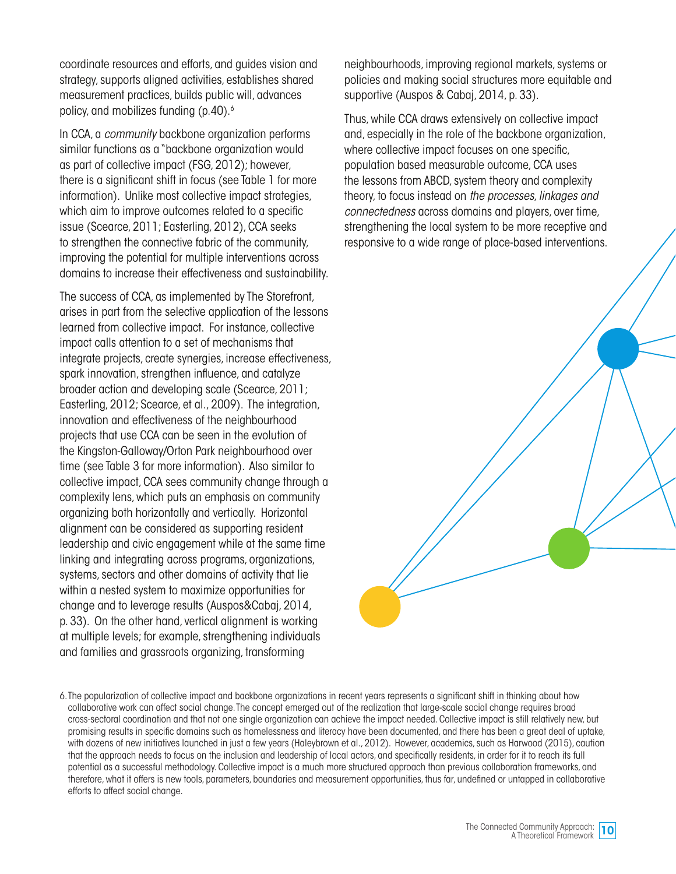coordinate resources and efforts, and guides vision and strategy, supports aligned activities, establishes shared measurement practices, builds public will, advances policy, and mobilizes funding (p.40).6

In CCA, a *community* backbone organization performs similar functions as a "backbone organization would as part of collective impact (FSG, 2012); however, there is a significant shift in focus (see Table 1 for more information). Unlike most collective impact strategies, which aim to improve outcomes related to a specific issue (Scearce, 2011; Easterling, 2012), CCA seeks to strengthen the connective fabric of the community, improving the potential for multiple interventions across domains to increase their effectiveness and sustainability.

The success of CCA, as implemented by The Storefront, arises in part from the selective application of the lessons learned from collective impact. For instance, collective impact calls attention to a set of mechanisms that integrate projects, create synergies, increase effectiveness, spark innovation, strengthen influence, and catalyze broader action and developing scale (Scearce, 2011; Easterling, 2012; Scearce, et al., 2009). The integration, innovation and effectiveness of the neighbourhood projects that use CCA can be seen in the evolution of the Kingston-Galloway/Orton Park neighbourhood over time (see Table 3 for more information). Also similar to collective impact, CCA sees community change through a complexity lens, which puts an emphasis on community organizing both horizontally and vertically. Horizontal alignment can be considered as supporting resident leadership and civic engagement while at the same time linking and integrating across programs, organizations, systems, sectors and other domains of activity that lie within a nested system to maximize opportunities for change and to leverage results (Auspos&Cabaj, 2014, p. 33). On the other hand, vertical alignment is working at multiple levels; for example, strengthening individuals and families and grassroots organizing, transforming

neighbourhoods, improving regional markets, systems or policies and making social structures more equitable and supportive (Auspos & Cabaj, 2014, p. 33).

Thus, while CCA draws extensively on collective impact and, especially in the role of the backbone organization, where collective impact focuses on one specific, population based measurable outcome, CCA uses the lessons from ABCD, system theory and complexity theory, to focus instead on *the processes*, *linkages and connectedness* across domains and players, over time, strengthening the local system to be more receptive and responsive to a wide range of place-based interventions.

6. The popularization of collective impact and backbone organizations in recent years represents a significant shift in thinking about how collaborative work can affect social change. The concept emerged out of the realization that large-scale social change requires broad cross-sectoral coordination and that not one single organization can achieve the impact needed. Collective impact is still relatively new, but promising results in specific domains such as homelessness and literacy have been documented, and there has been a great deal of uptake, with dozens of new initiatives launched in just a few years (Haleybrown et al., 2012). However, academics, such as Harwood (2015), caution that the approach needs to focus on the inclusion and leadership of local actors, and specifically residents, in order for it to reach its full potential as a successful methodology. Collective impact is a much more structured approach than previous collaboration frameworks, and therefore, what it offers is new tools, parameters, boundaries and measurement opportunities, thus far, undefined or untapped in collaborative efforts to affect social change.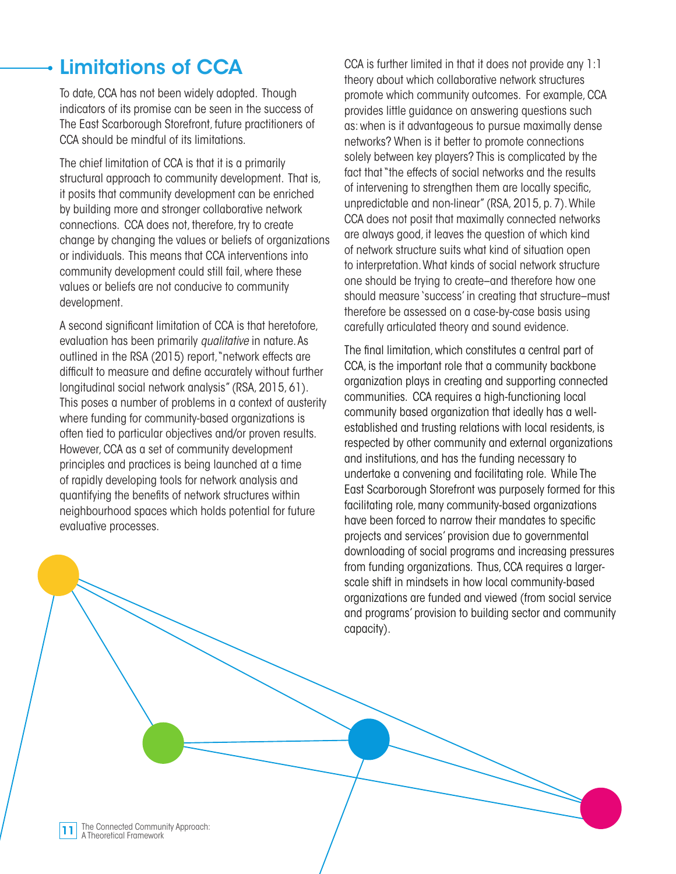## Limitations of CCA

To date, CCA has not been widely adopted. Though indicators of its promise can be seen in the success of The East Scarborough Storefront, future practitioners of CCA should be mindful of its limitations.

The chief limitation of CCA is that it is a primarily structural approach to community development. That is, it posits that community development can be enriched by building more and stronger collaborative network connections. CCA does not, therefore, try to create change by changing the values or beliefs of organizations or individuals. This means that CCA interventions into community development could still fail, where these values or beliefs are not conducive to community development.

A second significant limitation of CCA is that heretofore, evaluation has been primarily *qualitative* in nature. As outlined in the RSA (2015) report, "network effects are difficult to measure and define accurately without further longitudinal social network analysis" (RSA, 2015, 61). This poses a number of problems in a context of austerity where funding for community-based organizations is often tied to particular objectives and/or proven results. However, CCA as a set of community development principles and practices is being launched at a time of rapidly developing tools for network analysis and quantifying the benefits of network structures within neighbourhood spaces which holds potential for future evaluative processes.

CCA is further limited in that it does not provide any 1:1 theory about which collaborative network structures promote which community outcomes. For example, CCA provides little guidance on answering questions such as: when is it advantageous to pursue maximally dense networks? When is it better to promote connections solely between key players? This is complicated by the fact that "the effects of social networks and the results of intervening to strengthen them are locally specific, unpredictable and non-linear" (RSA, 2015, p. 7). While CCA does not posit that maximally connected networks are always good, it leaves the question of which kind of network structure suits what kind of situation open to interpretation. What kinds of social network structure one should be trying to create–and therefore how one should measure 'success' in creating that structure–must therefore be assessed on a case-by-case basis using carefully articulated theory and sound evidence.

The final limitation, which constitutes a central part of CCA, is the important role that a community backbone organization plays in creating and supporting connected communities. CCA requires a high-functioning local community based organization that ideally has a wellestablished and trusting relations with local residents, is respected by other community and external organizations and institutions, and has the funding necessary to undertake a convening and facilitating role. While The East Scarborough Storefront was purposely formed for this facilitating role, many community-based organizations have been forced to narrow their mandates to specific projects and services' provision due to governmental downloading of social programs and increasing pressures from funding organizations. Thus, CCA requires a largerscale shift in mindsets in how local community-based organizations are funded and viewed (from social service and programs' provision to building sector and community capacity).

The Connected Community Approach: 11 Ine Connected Community<br>A Theoretical Framework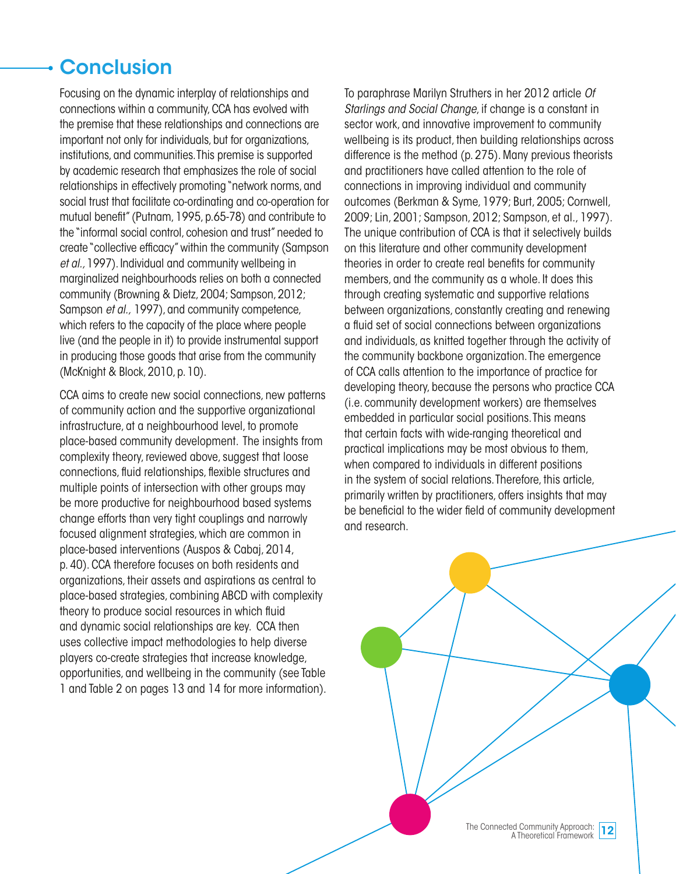## **Conclusion**

Focusing on the dynamic interplay of relationships and connections within a community, CCA has evolved with the premise that these relationships and connections are important not only for individuals, but for organizations, institutions, and communities. This premise is supported by academic research that emphasizes the role of social relationships in effectively promoting "network norms, and social trust that facilitate co-ordinating and co-operation for mutual benefit" (Putnam, 1995, p.65-78) and contribute to the "informal social control, cohesion and trust" needed to create "collective efficacy" within the community (Sampson *et al.,* 1997). Individual and community wellbeing in marginalized neighbourhoods relies on both a connected community (Browning & Dietz, 2004; Sampson, 2012; Sampson *et al.,* 1997), and community competence, which refers to the capacity of the place where people live (and the people in it) to provide instrumental support in producing those goods that arise from the community (McKnight & Block, 2010, p. 10).

CCA aims to create new social connections, new patterns of community action and the supportive organizational infrastructure, at a neighbourhood level, to promote place-based community development. The insights from complexity theory, reviewed above, suggest that loose connections, fluid relationships, flexible structures and multiple points of intersection with other groups may be more productive for neighbourhood based systems change efforts than very tight couplings and narrowly focused alignment strategies, which are common in place-based interventions (Auspos & Cabaj, 2014, p. 40). CCA therefore focuses on both residents and organizations, their assets and aspirations as central to place-based strategies, combining ABCD with complexity theory to produce social resources in which fluid and dynamic social relationships are key. CCA then uses collective impact methodologies to help diverse players co-create strategies that increase knowledge, opportunities, and wellbeing in the community (see Table 1 and Table 2 on pages 13 and 14 for more information).

To paraphrase Marilyn Struthers in her 2012 article *Of Starlings and Social Change*, if change is a constant in sector work, and innovative improvement to community wellbeing is its product, then building relationships across difference is the method (p. 275). Many previous theorists and practitioners have called attention to the role of connections in improving individual and community outcomes (Berkman & Syme, 1979; Burt, 2005; Cornwell, 2009; Lin, 2001; Sampson, 2012; Sampson, et al., 1997). The unique contribution of CCA is that it selectively builds on this literature and other community development theories in order to create real benefits for community members, and the community as a whole. It does this through creating systematic and supportive relations between organizations, constantly creating and renewing a fluid set of social connections between organizations and individuals, as knitted together through the activity of the community backbone organization. The emergence of CCA calls attention to the importance of practice for developing theory, because the persons who practice CCA (i.e. community development workers) are themselves embedded in particular social positions. This means that certain facts with wide-ranging theoretical and practical implications may be most obvious to them, when compared to individuals in different positions in the system of social relations. Therefore, this article, primarily written by practitioners, offers insights that may be beneficial to the wider field of community development and research.

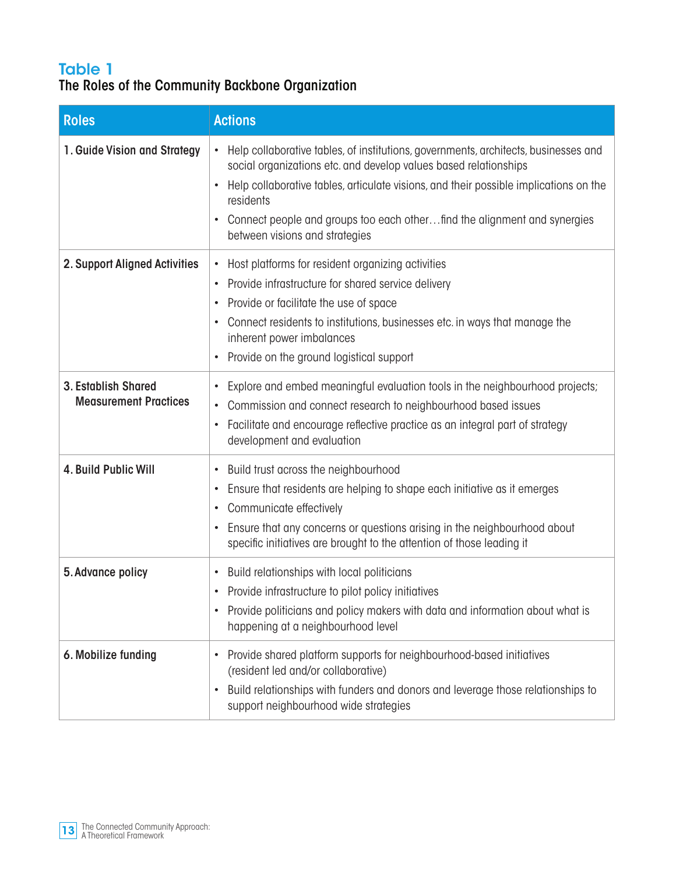### Table 1 The Roles of the Community Backbone Organization

| <b>Roles</b>                                               | <b>Actions</b>                                                                                                                                                                                                                                                                                                                                                                                        |
|------------------------------------------------------------|-------------------------------------------------------------------------------------------------------------------------------------------------------------------------------------------------------------------------------------------------------------------------------------------------------------------------------------------------------------------------------------------------------|
| 1. Guide Vision and Strategy                               | Help collaborative tables, of institutions, governments, architects, businesses and<br>$\bullet$<br>social organizations etc. and develop values based relationships<br>Help collaborative tables, articulate visions, and their possible implications on the<br>$\bullet$<br>residents<br>Connect people and groups too each otherfind the alignment and synergies<br>between visions and strategies |
| 2. Support Aligned Activities                              | Host platforms for resident organizing activities<br>$\bullet$<br>Provide infrastructure for shared service delivery<br>$\bullet$<br>Provide or facilitate the use of space<br>$\bullet$<br>Connect residents to institutions, businesses etc. in ways that manage the<br>$\bullet$<br>inherent power imbalances<br>Provide on the ground logistical support<br>$\bullet$                             |
| <b>3. Establish Shared</b><br><b>Measurement Practices</b> | Explore and embed meaningful evaluation tools in the neighbourhood projects;<br>Commission and connect research to neighbourhood based issues<br>$\bullet$<br>Facilitate and encourage reflective practice as an integral part of strategy<br>$\bullet$<br>development and evaluation                                                                                                                 |
| 4. Build Public Will                                       | Build trust across the neighbourhood<br>$\bullet$<br>Ensure that residents are helping to shape each initiative as it emerges<br>$\bullet$<br>Communicate effectively<br>٠<br>Ensure that any concerns or questions arising in the neighbourhood about<br>$\bullet$<br>specific initiatives are brought to the attention of those leading it                                                          |
| 5. Advance policy                                          | Build relationships with local politicians<br>$\bullet$<br>Provide infrastructure to pilot policy initiatives<br>Provide politicians and policy makers with data and information about what is<br>happening at a neighbourhood level                                                                                                                                                                  |
| 6. Mobilize funding                                        | Provide shared platform supports for neighbourhood-based initiatives<br>(resident led and/or collaborative)<br>Build relationships with funders and donors and leverage those relationships to<br>support neighbourhood wide strategies                                                                                                                                                               |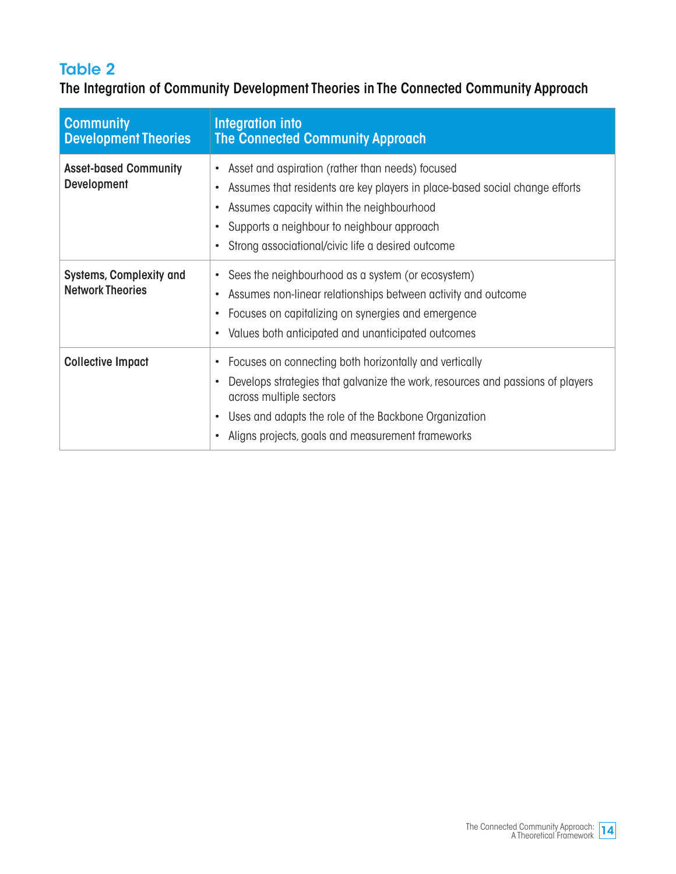### Table 2

The Integration of Community Development Theories in The Connected Community Approach

| <b>Community</b><br><b>Development Theories</b>           | Integration into<br><b>The Connected Community Approach</b>                                                                                                                                                                                                                                                 |
|-----------------------------------------------------------|-------------------------------------------------------------------------------------------------------------------------------------------------------------------------------------------------------------------------------------------------------------------------------------------------------------|
| <b>Asset-based Community</b><br><b>Development</b>        | Asset and aspiration (rather than needs) focused<br>$\bullet$<br>Assumes that residents are key players in place-based social change efforts<br>Assumes capacity within the neighbourhood<br>$\bullet$<br>Supports a neighbour to neighbour approach<br>Strong associational/civic life a desired outcome   |
| <b>Systems, Complexity and</b><br><b>Network Theories</b> | Sees the neighbourhood as a system (or ecosystem)<br>٠<br>Assumes non-linear relationships between activity and outcome<br>Focuses on capitalizing on synergies and emergence<br>Values both anticipated and unanticipated outcomes<br>$\bullet$                                                            |
| <b>Collective Impact</b>                                  | Focuses on connecting both horizontally and vertically<br>$\bullet$<br>Develops strategies that galvanize the work, resources and passions of players<br>across multiple sectors<br>Uses and adapts the role of the Backbone Organization<br>$\bullet$<br>Aligns projects, goals and measurement frameworks |

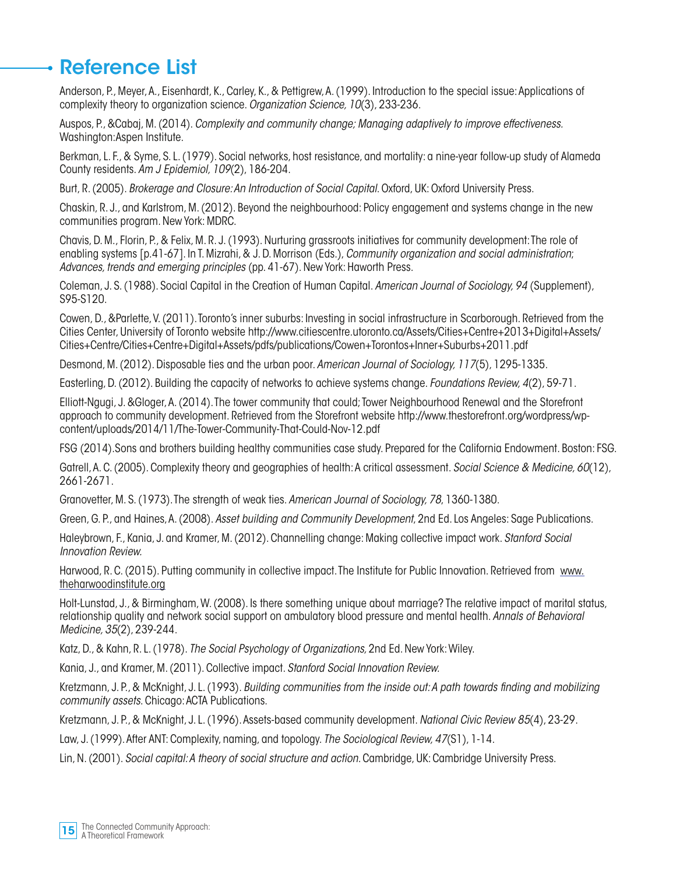### Reference List

Anderson, P., Meyer, A., Eisenhardt, K., Carley, K., & Pettigrew, A. (1999). Introduction to the special issue: Applications of complexity theory to organization science. *Organization Science, 10*(3), 233-236.

Auspos, P., &Cabaj, M. (2014). *Complexity and community change; Managing adaptively to improve effectiveness.*  Washington:Aspen Institute.

Berkman, L. F., & Syme, S. L. (1979). Social networks, host resistance, and mortality: a nine-year follow-up study of Alameda County residents. *Am J Epidemiol, 109*(2), 186-204.

Burt, R. (2005). *Brokerage and Closure: An Introduction of Social Capital*. Oxford, UK: Oxford University Press.

Chaskin, R. J., and Karlstrom, M. (2012). Beyond the neighbourhood: Policy engagement and systems change in the new communities program. New York: MDRC.

Chavis, D. M., Florin, P., & Felix, M. R. J. (1993). Nurturing grassroots initiatives for community development: The role of enabling systems [p.41-67]. In T. Mizrahi, & J. D. Morrison (Eds.), *Community organization and social administration*; *Advances, trends and emerging principles* (pp. 41-67). New York: Haworth Press.

Coleman, J. S. (1988). Social Capital in the Creation of Human Capital. *American Journal of Sociology, 94* (Supplement), S95-S120.

Cowen, D., &Parlette, V. (2011). Toronto's inner suburbs: Investing in social infrastructure in Scarborough. Retrieved from the Cities Center, University of Toronto website http://www.citiescentre.utoronto.ca/Assets/Cities+Centre+2013+Digital+Assets/ Cities+Centre/Cities+Centre+Digital+Assets/pdfs/publications/Cowen+Torontos+Inner+Suburbs+2011.pdf

Desmond, M. (2012). Disposable ties and the urban poor. *American Journal of Sociology, 117*(5), 1295-1335.

Easterling, D. (2012). Building the capacity of networks to achieve systems change. *Foundations Review, 4*(2), 59-71.

Elliott-Ngugi, J. &Gloger, A. (2014). The tower community that could; Tower Neighbourhood Renewal and the Storefront approach to community development. Retrieved from the Storefront website http://www.thestorefront.org/wordpress/wpcontent/uploads/2014/11/The-Tower-Community-That-Could-Nov-12.pdf

FSG (2014).Sons and brothers building healthy communities case study. Prepared for the California Endowment. Boston: FSG.

Gatrell, A. C. (2005). Complexity theory and geographies of health: A critical assessment. *Social Science & Medicine, 60*(12), 2661-2671.

Granovetter, M. S. (1973). The strength of weak ties. *American Journal of Sociology, 78*, 1360-1380.

Green, G. P., and Haines, A. (2008). *Asset building and Community Development*, 2nd Ed. Los Angeles: Sage Publications.

Haleybrown, F., Kania, J. and Kramer, M. (2012). Channelling change: Making collective impact work. *Stanford Social Innovation Review.* 

Harwood, R. C. (2015). Putting community in collective impact. The Institute for Public Innovation. Retrieved from www. theharwoodinstitute.org

Holt-Lunstad, J., & Birmingham, W. (2008). Is there something unique about marriage? The relative impact of marital status, relationship quality and network social support on ambulatory blood pressure and mental health. *Annals of Behavioral Medicine, 35*(2), 239-244.

Katz, D., & Kahn, R. L. (1978). *The Social Psychology of Organizations,* 2nd Ed. New York: Wiley.

Kania, J., and Kramer, M. (2011). Collective impact. *Stanford Social Innovation Review.*

Kretzmann, J. P., & McKnight, J. L. (1993). *Building communities from the inside out: A path towards finding and mobilizing community assets*. Chicago: ACTA Publications.

Kretzmann, J. P., & McKnight, J. L. (1996). Assets-based community development. *National Civic Review 85*(4), 23-29.

Law, J. (1999). After ANT: Complexity, naming, and topology. *The Sociological Review, 47*(S1), 1-14.

Lin, N. (2001). *Social capital: A theory of social structure and action*. Cambridge, UK: Cambridge University Press.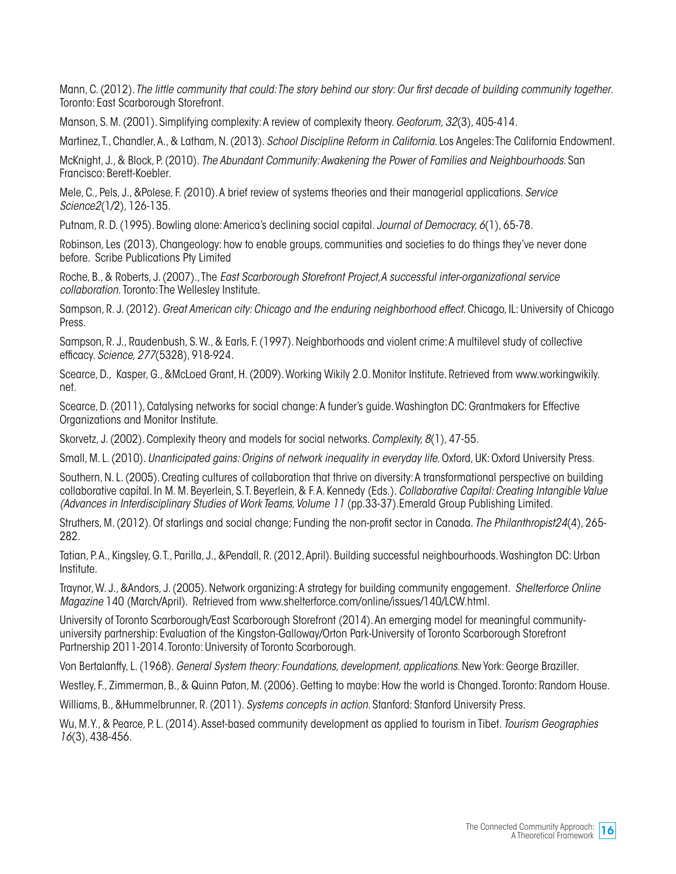Mann, C. (2012)*. The little community that could: The story behind our story: Our first decade of building community together*. Toronto: East Scarborough Storefront.

Manson, S. M. (2001). Simplifying complexity: A review of complexity theory. *Geoforum, 32*(3), 405-414.

Martinez, T., Chandler, A., & Latham, N. (2013). *School Discipline Reform in California*. Los Angeles: The California Endowment.

McKnight, J., & Block, P. (2010). *The Abundant Community: Awakening the Power of Families and Neighbourhoods.* San Francisco: Berett-Koebler.

Mele, C., Pels, J., &Polese, F. *(*2010). A brief review of systems theories and their managerial applications. *Service Science2*(1/2), 126-135.

Putnam, R. D. (1995). Bowling alone: America's declining social capital. *Journal of Democracy, 6*(1), 65-78.

Robinson, Les (2013), Changeology: how to enable groups, communities and societies to do things they've never done before. Scribe Publications Pty Limited

Roche, B., & Roberts, J. (2007)., The *East Scarborough Storefront Project,A successful inter-organizational service collaboration.* Toronto: The Wellesley Institute.

Sampson, R. J. (2012). *Great American city: Chicago and the enduring neighborhood effect*. Chicago, IL: University of Chicago Press.

Sampson, R. J., Raudenbush, S. W., & Earls, F. (1997). Neighborhoods and violent crime: A multilevel study of collective efficacy. *Science, 277*(5328), 918-924.

Scearce, D., Kasper, G., &McLoed Grant, H. (2009). Working Wikily 2.0. Monitor Institute. Retrieved from www.workingwikily. net.

Scearce, D. (2011), Catalysing networks for social change: A funder's guide. Washington DC: Grantmakers for Effective Organizations and Monitor Institute.

Skorvetz, J. (2002). Complexity theory and models for social networks. *Complexity, 8*(1), 47-55.

Small, M. L. (2010). *Unanticipated gains: Origins of network inequality in everyday life*. Oxford, UK: Oxford University Press.

Southern, N. L. (2005). Creating cultures of collaboration that thrive on diversity: A transformational perspective on building collaborative capital. In M. M. Beyerlein, S. T. Beyerlein, & F. A. Kennedy (Eds.). *Collaborative Capital: Creating Intangible Value (Advances in Interdisciplinary Studies of Work Teams, Volume 11* (pp.33-37).Emerald Group Publishing Limited.

Struthers, M. (2012). Of starlings and social change; Funding the non-profit sector in Canada. *The Philanthropist24*(4), 265- 282.

Tatian, P. A., Kingsley, G. T., Parilla, J., &Pendall, R. (2012, April). Building successful neighbourhoods. Washington DC: Urban Institute.

Traynor, W. J., &Andors, J. (2005). Network organizing: A strategy for building community engagement. *Shelterforce Online Magazine* 140 (March/April). Retrieved from www.shelterforce.com/online/issues/140/LCW.html.

University of Toronto Scarborough/East Scarborough Storefront (2014). An emerging model for meaningful communityuniversity partnership: Evaluation of the Kingston-Galloway/Orton Park-University of Toronto Scarborough Storefront Partnership 2011-2014. Toronto: University of Toronto Scarborough.

Von Bertalanffy, L. (1968). *General System theory: Foundations, development, applications.* New York: George Braziller.

Westley, F., Zimmerman, B., & Quinn Paton, M. (2006). Getting to maybe: How the world is Changed. Toronto: Random House.

Williams, B., &Hummelbrunner, R. (2011). *Systems concepts in action.* Stanford: Stanford University Press.

Wu, M. Y., & Pearce, P. L. (2014). Asset-based community development as applied to tourism in Tibet. *Tourism Geographies 16*(3), 438-456.